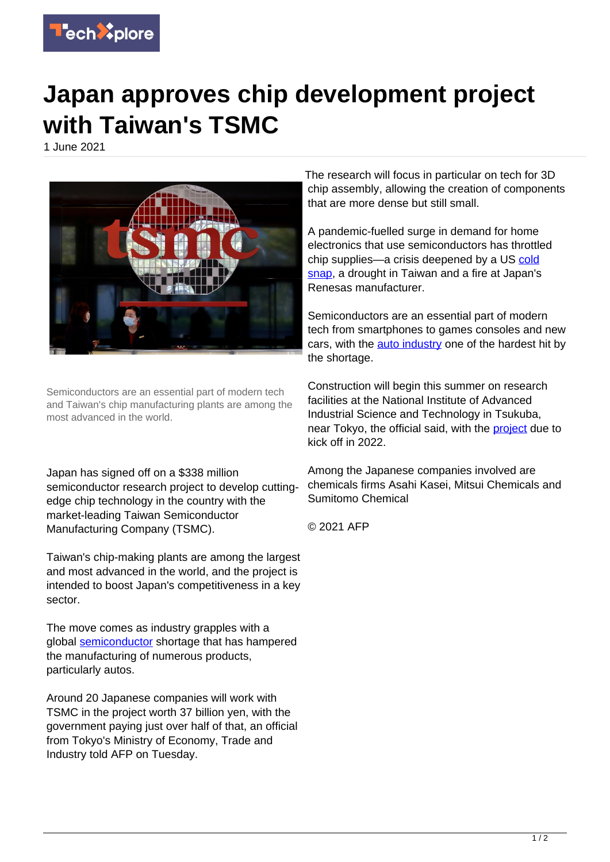

## **Japan approves chip development project with Taiwan's TSMC**

1 June 2021



Semiconductors are an essential part of modern tech and Taiwan's chip manufacturing plants are among the most advanced in the world.

Japan has signed off on a \$338 million semiconductor research project to develop cuttingedge chip technology in the country with the market-leading Taiwan Semiconductor Manufacturing Company (TSMC).

Taiwan's chip-making plants are among the largest and most advanced in the world, and the project is intended to boost Japan's competitiveness in a key sector.

The move comes as industry grapples with a global [semiconductor](https://techxplore.com/tags/semiconductor/) shortage that has hampered the manufacturing of numerous products, particularly autos.

Around 20 Japanese companies will work with TSMC in the project worth 37 billion yen, with the government paying just over half of that, an official from Tokyo's Ministry of Economy, Trade and Industry told AFP on Tuesday.

The research will focus in particular on tech for 3D chip assembly, allowing the creation of components that are more dense but still small.

A pandemic-fuelled surge in demand for home electronics that use semiconductors has throttled chip supplies—a crisis deepened by a US [cold](https://techxplore.com/tags/cold+snap/) [snap](https://techxplore.com/tags/cold+snap/), a drought in Taiwan and a fire at Japan's Renesas manufacturer.

Semiconductors are an essential part of modern tech from smartphones to games consoles and new cars, with the [auto industry](https://techxplore.com/tags/auto+industry/) one of the hardest hit by the shortage.

Construction will begin this summer on research facilities at the National Institute of Advanced Industrial Science and Technology in Tsukuba, near Tokyo, the official said, with the **project** due to kick off in 2022.

Among the Japanese companies involved are chemicals firms Asahi Kasei, Mitsui Chemicals and Sumitomo Chemical

© 2021 AFP